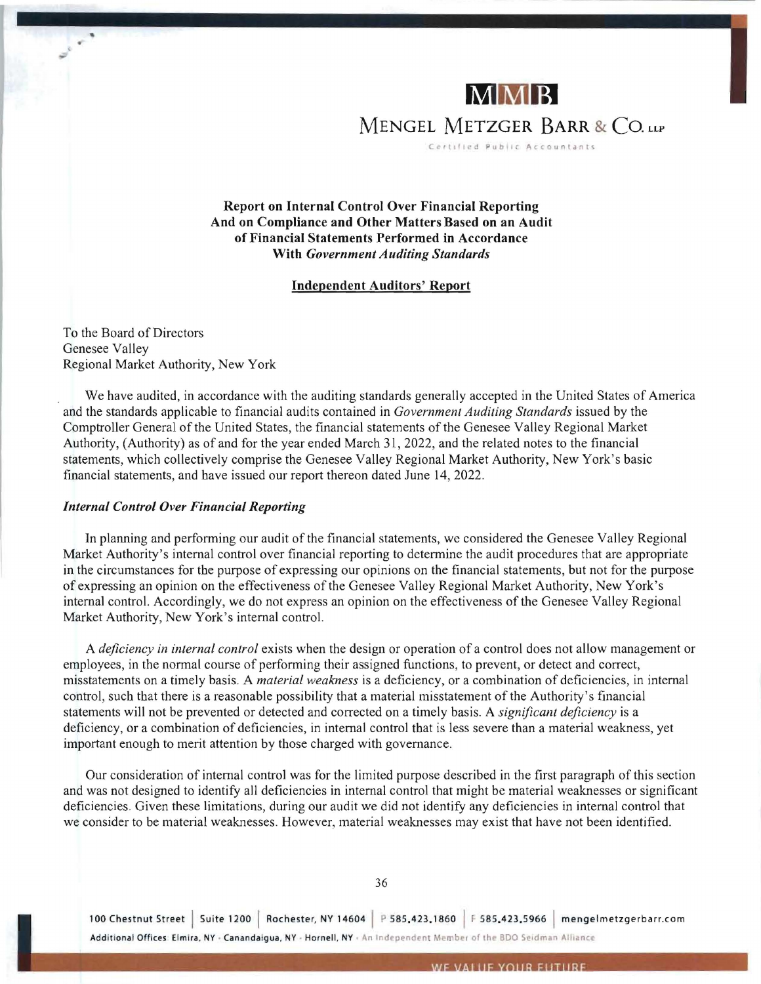

MENGEL METZGER BARR & CO. LLP

Certified Public Accountants

Report on Internal Control Over Financial Reporting And on Compliance and Other Matters Based on an Audit of Financial Statements Performed in Accordance With *Government Auditing Standards* 

## Independent Auditors' Report

To the Board of Directors Genesee Valley Regional Market Authority, New York

We have audited, in accordance with the auditing standards generally accepted in the United States of America and the standards applicable to financial audits contained in *Government Auditing Standards* issued by the Comptroller General of the United States, the fmancial statements of the Genesee Valley Regional Market Authority, (Authority) as of and for the year ended March 31,2022, and the related notes to the financial statements, which collectively comprise the Genesee Valley Regional Market Authority, New York's basic financial statements, and have issued our report thereon dated June 14,2022.

## *Internal Control Over Financial Reporting*

In plarming and performing our audit of the financial statements, we considered the Genesee Valley Regional Market Authority's internal control over financial reporting to determine the audit procedures that are appropriate in the circumstances for the purpose of expressing our opinions on the financial statements, but not for the purpose of expressing an opinion on the effectiveness of the Genesee Valley Regional Market Authority, New York's internal control. Accordingly, we do not express an opinion on the effectiveness of the Genesee Valley Regional Market Authority, New York's internal control.

A *deficiency in internal control* exists when the design or operation of a control does not allow management or employees, in the normal course of performing their assigned functions, to prevent, or detect and correct, misstatements on a timely basis. A *material weakness* is a deficiency, or a combination of deficiencies, in internal control, such that there is a reasonable possibility that a material misstatement of the Authority's financial statements will not be prevented or detected and corrected on a timely basis. A *significant deficiency* is a deficiency, or a combination of deficiencies, in internal control that is less severe than a material weakness, yet important enough to merit attention by those charged with governance.

Our consideration of internal control was for the limited purpose described in the first paragraph of this section and was not designed to identify all deficiencies in internal control that might be material weaknesses or significant deficiencies. Given these limitations, during our audit we did not identify any deficiencies in internal control that we consider to be material weaknesses. However, material weaknesses may exist that have not been identified.

36

100 Chestnut Street | Suite 1200 | Rochester, NY 14604 | P 585.423.1860 | F 585.423.5966 | mengelmetzgerbarr.com Additional Offices: Elmira, NY · Canandaigua, NY · Hornell, NY · An Independent Member of the BDO Seidman Alliance